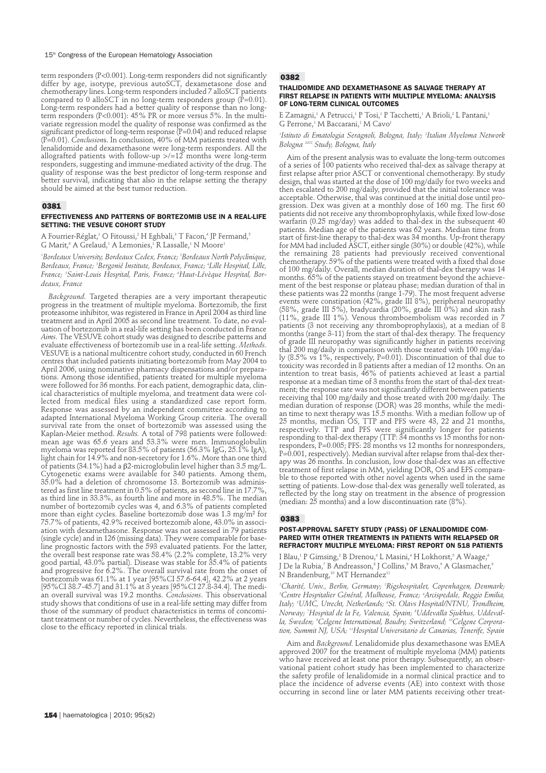term responders (P<0.001). Long-term responders did not significantly differ by age, isotype, previous autoSCT, dexametasone dose and chemotherapy lines. Long-term responders included 7 alloSCT patients compared to 0 alloSCT in no long-term responders group ( $\dot{P}$ =0.01). Long-term responders had a better quality of response than no longterm responders (P<0.001): 45% PR or more versus 5%. In the multivariate regression model the quality of response was confirmed as the significant predictor of long-term response (P=0.04) and reduced relapse (P=0.01). *Conclusion*s. In conclusion, 40% of MM patients treated with lenalidomide and dexamethasone were long-term responders. All the allografted patients with follow-up  $\ge$ /=12 months were long-term responders, suggesting and immune-mediated activity of the drug. The quality of response was the best predictor of long-term response and better survival, indicating that also in the relapse setting the therapy should be aimed at the best tumor reduction.

#### 0381

### EFFECTIVENESS AND PATTERNS OF BORTEZOMIB USE IN A REAL-LIFE SETTING: THE VESUVE COHORT STUDY

A Fourrier-Réglat,<sup>1</sup> O Fitoussi,<sup>2</sup> H Eghbali,<sup>3</sup> T Facon,<sup>4</sup> JP Fermand,<sup>5</sup> G Marit,<sup>6</sup> A Grelaud,<sup>1</sup> A Lemonies,<sup>1</sup> R Lassalle,<sup>1</sup> N Moore<sup>1</sup>

*1 Bordeaux University, Bordeaux Cedex, France; 2 Bordeaux North Polyclinique, Bordeaux, France; 3 Bergonié Institute, Bordeaux, France; 4 Lille Hospital, Lille, France; 5 Saint-Louis Hospital, Paris, France; 6 Haut-Lévèque Hospital, Bordeaux, France*

*Background.* Targeted therapies are a very important therapeutic progress in the treatment of multiple myeloma. Bortezomib, the first proteasome inhibitor, was registered in France in April 2004 as third line treatment and in April 2005 as second line treatment. To date, no evaluation of bortezomib in a real-life setting has been conducted in France *Aims.* The VESUVE cohort study was designed to describe patterns and evaluate effectiveness of bortezomib use in a real-life setting. *Methods.* VESUVE is a national multicentre cohort study, conducted in 60 French centres that included patients initiating bortezomib from May 2004 to April 2006, using nominative pharmacy dispensations and/or preparations. Among those identified, patients treated for multiple myeloma were followed for 36 months. For each patient, demographic data, clinical characteristics of multiple myeloma, and treatment data were collected from medical files using a standardized case report form. Response was assessed by an independent committee according to adapted International Myeloma Working Group criteria. The overall survival rate from the onset of bortezomib was assessed using the Kaplan-Meier method. *Results.* A total of 798 patients were followed: mean age was 65.6 years and 53.3% were men. Immunoglobulin mean age was below years and below who have have an alleged to the myeloma was reported for 83.5% of patients (56.3% IgG, 25.1% IgA), light chain for 14.9% and non-secretory for 1.6%. More than one third of patients (34.1%) had a β2-microglobulin level higher than 3.5 mg/L. Cytogenetic exams were available for 340 patients. Among them, 35.0% had a deletion of chromosome 13. Bortezomib was administered as first line treatment in 0.5% of patients, as second line in 17.7%, as third line in 33.3%, as fourth line and more in 48.5%. The median number of bortezomib cycles was 4, and 6.3% of patients completed more than eight cycles. Baseline bortezomib dose was 1.3 mg/m² for 75.7% of patients, 42.9% received bortezomib alone, 43.0% in association with dexamethasone. Response was not assessed in 79 patients (single cycle) and in 126 (missing data). They were comparable for baseline prognostic factors with the 593 evaluated patients. For the latter, the overall best response rate was 58.4% (2.2% complete, 13.2% very good partial, 43.0% partial). Disease was stable for 35.4% of patients and progressive for 6.2%. The overall survival rate from the onset of bortezomib was 61.1% at 1 year [95%CI 57.6-64.4], 42.2% at 2 years [95%CI 38.7-45.7] and 31.1% at 3 years [95%CI 27.8-34.4]. The median overall survival was 19.2 months. *Conclusions*. This observational study shows that conditions of use in a real-life setting may differ from those of the summary of product characteristics in terms of concomitant treatment or number of cycles. Nevertheless, the effectiveness was close to the efficacy reported in clinical trials.

# 0382

# THALIDOMIDE AND DEXAMETHASONE AS SALVAGE THERAPY AT FIRST RELAPSE IN PATIENTS WITH MULTIPLE MYELOMA: ANALYSIS OF LONG-TERM CLINICAL OUTCOMES

E Zamagni,<sup>1</sup> A Petrucci,<sup>1</sup> P Tosi,<sup>1</sup> P Tacchetti,<sup>1</sup> A Brioli,<sup>2</sup> L Pantani,<sup>1</sup> G Perrone,<sup>1</sup> M Baccarani,<sup>1</sup> M Cavo<sup>1</sup>

*1 Istituto di Ematologia Seragnoli, Bologna, Italy; 2 Italian Myeloma Network Bologna 2002 Study, Bologna, Italy*

Aim of the present analysis was to evaluate the long-term outcomes of a series of 100 patients who received thal-dex as salvage therapy at first relapse after prior ASCT or conventional chemotherapy. By study design, thal was started at the dose of 100 mg/daily for two weeks and then escalated to 200 mg/daily, provided that the initial tolerance was acceptable. Otherwise, thal was continued at the initial dose until progression. Dex was given at a monthly dose of 160 mg. The first 60 patients did not receive any thromboprophylaxis, while fixed low-dose warfarin (0.25 mg/day) was added to thal-dex in the subsequent 40 patients. Median age of the patients was 62 years. Median time from start of first-line therapy to thal-dex was 34 months. Up-front therapy for MM had included ASCT, either single (30%) or double (42%), while the remaining 28 patients had previously received conventional chemotherapy. 59% of the patients were treated with a fixed thal dose of 100 mg/daily. Overall, median duration of thal-dex therapy was 14 months. 65% of the patients stayed on treatment beyond the achievement of the best response or plateau phase; median duration of thal in these patients was 22 months (range 1-79). The most frequent adverse events were constipation (42%, grade III 8%), peripheral neuropathy (58%, grade III 5%), bradycardia (20%, grade III 0%) and skin rash (11%, grade III 1%). Venous thromboembolism was recorded in 7 patients (3 not receiving any thromboprophylaxis), at a median of 8 months (range 3-11) from the start of thal-dex therapy. The frequency of grade III neuropathy was significantly higher in patients receiving thal 200 mg/daily in comparison with those treated with 100 mg/daily (8.5% vs 1%, respectively, P=0.01). Discontinuation of thal due to toxicity was recorded in 8 patients after a median of 12 months. On an intention to treat basis, 46% of patients achieved at least a partial response at a median time of 3 months from the start of thal-dex treatment; the response rate was not significantly different between patients receiving thal 100 mg/daily and those treated with 200 mg/daily. The median duration of response (DOR) was 28 months, while the median time to next therapy was 15.5 months. With a median follow up of 25 months, median OS, TTP and PFS were 43, 22 and 21 months, respectively. TTP and PFS were significantly longer for patients responding to thal-dex therapy (TTP: 34 months vs 15 months for nonresponders, P=0.005; PFS: 28 months vs 12 months for nonresponders, P=0.001, respectively). Median survival after relapse from thal-dex therapy was 26 months. In conclusion, low dose thal-dex was an effective treatment of first relapse in MM, yielding DOR, OS and EFS comparable to those reported with other novel agents when used in the same setting of patients. Low-dose thal-dex was generally well tolerated, as reflected by the long stay on treatment in the absence of progression (median: 25 months) and a low discontinuation rate (8%).

#### 0383

### POST-APPROVAL SAFETY STUDY (PASS) OF LENALIDOMIDE COM-PARED WITH OTHER TREATMENTS IN PATIENTS WITH RELAPSED OR REFRACTORY MULTIPLE MYELOMA: FIRST REPORT ON 518 PATIENTS

I Blau,<sup>1</sup> P Gimsing,<sup>2</sup> B Drenou,<sup>3</sup> L Masini,<sup>4</sup> H Lokhorst,<sup>5</sup> A Waage,<sup>6</sup> J De la Rubia,<sup>7</sup> B Andreasson,8 J Collins,9 M Bravo,9 A Glasmacher,9 N Brandenburg,<sup>10</sup> MT Hernandez<sup>11</sup>

*1 Charité, Univ., Berlin, Germany; 2 Rigshospitalet, Copenhagen, Denmark; 3 Centre Hospitalier Général, Mulhouse, France; 4 Arcispedale, Reggio Emilia, Italy; 5 UMC, Utrecht, Netherlands; 6 St. Olavs Hospital/NTNU, Trondheim, Norway; 7 Hospital de la Fe, Valencia, Spain; 8 Uddevalla Sjukhus, Uddevalla, Sweden; 9 Celgene International, Boudry, Switzerland; 10Celgene Corporation, Summit NJ, USA; 11Hospital Universitario de Canarias, Tenerife, Spain*

Aim and *Background.* Lenalidomide plus dexamethasone was EMEA approved 2007 for the treatment of multiple myeloma (MM) patients who have received at least one prior therapy. Subsequently, an observational patient cohort study has been implemented to characterize the safety profile of lenalidomide in a normal clinical practice and to place the incidence of adverse events (AE) into context with those occurring in second line or later MM patients receiving other treat